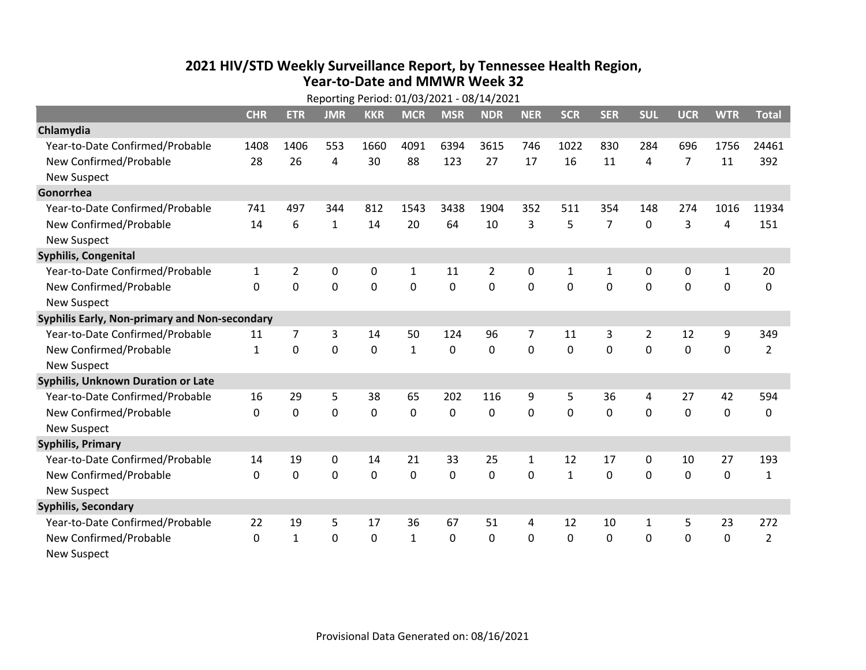## **2021 HIV /STD Weekly Surveillance Report, by Tennessee Health Region, Year‐to‐Date and MMWR Week 32** Reporting Period: 01/03/2021 ‐ 08/14/2021

| Reporting Period: 01/03/2021 - 08/14/2021     |              |                |                |                |              |                |             |                |              |                |              |                |              |                |
|-----------------------------------------------|--------------|----------------|----------------|----------------|--------------|----------------|-------------|----------------|--------------|----------------|--------------|----------------|--------------|----------------|
|                                               | <b>CHR</b>   | <b>ETR</b>     | <b>JMR</b>     | <b>KKR</b>     | <b>MCR</b>   | <b>MSR</b>     | <b>NDR</b>  | <b>NER</b>     | <b>SCR</b>   | <b>SER</b>     | <b>SUL</b>   | <b>UCR</b>     | <b>WTR</b>   | <b>Total</b>   |
| Chlamydia                                     |              |                |                |                |              |                |             |                |              |                |              |                |              |                |
| Year-to-Date Confirmed/Probable               | 1408         | 1406           | 553            | 1660           | 4091         | 6394           | 3615        | 746            | 1022         | 830            | 284          | 696            | 1756         | 24461          |
| New Confirmed/Probable                        | 28           | 26             | 4              | 30             | 88           | 123            | 27          | 17             | 16           | 11             | 4            | $\overline{7}$ | 11           | 392            |
| <b>New Suspect</b>                            |              |                |                |                |              |                |             |                |              |                |              |                |              |                |
| Gonorrhea                                     |              |                |                |                |              |                |             |                |              |                |              |                |              |                |
| Year-to-Date Confirmed/Probable               | 741          | 497            | 344            | 812            | 1543         | 3438           | 1904        | 352            | 511          | 354            | 148          | 274            | 1016         | 11934          |
| New Confirmed/Probable                        | 14           | 6              | $\mathbf{1}$   | 14             | 20           | 64             | 10          | 3              | 5            | $\overline{7}$ | $\mathbf{0}$ | 3              | 4            | 151            |
| <b>New Suspect</b>                            |              |                |                |                |              |                |             |                |              |                |              |                |              |                |
| <b>Syphilis, Congenital</b>                   |              |                |                |                |              |                |             |                |              |                |              |                |              |                |
| Year-to-Date Confirmed/Probable               | $\mathbf{1}$ | $\overline{2}$ | $\mathbf 0$    | 0              | $\mathbf{1}$ | 11             | 2           | 0              | $\mathbf{1}$ | 1              | 0            | 0              | $\mathbf{1}$ | 20             |
| New Confirmed/Probable                        | 0            | 0              | 0              | 0              | 0            | $\overline{0}$ | 0           | $\Omega$       | $\Omega$     | 0              | 0            | 0              | $\mathbf 0$  | 0              |
| <b>New Suspect</b>                            |              |                |                |                |              |                |             |                |              |                |              |                |              |                |
| Syphilis Early, Non-primary and Non-secondary |              |                |                |                |              |                |             |                |              |                |              |                |              |                |
| Year-to-Date Confirmed/Probable               | 11           | $\overline{7}$ | 3              | 14             | 50           | 124            | 96          | $\overline{7}$ | 11           | 3              | 2            | 12             | 9            | 349            |
| New Confirmed/Probable                        | $\mathbf{1}$ | 0              | $\overline{0}$ | $\overline{0}$ | $\mathbf{1}$ | $\overline{0}$ | $\mathbf 0$ | $\Omega$       | $\Omega$     | $\Omega$       | $\mathbf 0$  | $\mathbf 0$    | $\mathbf 0$  | $\overline{2}$ |
| <b>New Suspect</b>                            |              |                |                |                |              |                |             |                |              |                |              |                |              |                |
| <b>Syphilis, Unknown Duration or Late</b>     |              |                |                |                |              |                |             |                |              |                |              |                |              |                |
| Year-to-Date Confirmed/Probable               | 16           | 29             | 5              | 38             | 65           | 202            | 116         | 9              | 5            | 36             | 4            | 27             | 42           | 594            |
| New Confirmed/Probable                        | $\Omega$     | $\mathbf 0$    | $\Omega$       | 0              | $\mathbf 0$  | $\Omega$       | 0           | $\Omega$       | $\Omega$     | $\Omega$       | $\Omega$     | 0              | $\mathbf 0$  | 0              |
| <b>New Suspect</b>                            |              |                |                |                |              |                |             |                |              |                |              |                |              |                |
| <b>Syphilis, Primary</b>                      |              |                |                |                |              |                |             |                |              |                |              |                |              |                |
| Year-to-Date Confirmed/Probable               | 14           | 19             | 0              | 14             | 21           | 33             | 25          | $\mathbf{1}$   | 12           | 17             | 0            | 10             | 27           | 193            |
| New Confirmed/Probable                        | $\mathbf{0}$ | $\mathbf 0$    | 0              | 0              | $\mathbf 0$  | 0              | 0           | $\mathbf 0$    | $\mathbf{1}$ | 0              | 0            | 0              | $\mathbf 0$  | $\mathbf{1}$   |
| <b>New Suspect</b>                            |              |                |                |                |              |                |             |                |              |                |              |                |              |                |
| <b>Syphilis, Secondary</b>                    |              |                |                |                |              |                |             |                |              |                |              |                |              |                |
| Year-to-Date Confirmed/Probable               | 22           | 19             | 5              | 17             | 36           | 67             | 51          | 4              | 12           | 10             | $\mathbf{1}$ | 5              | 23           | 272            |
| New Confirmed/Probable                        | $\mathbf{0}$ | $\mathbf{1}$   | 0              | 0              | $\mathbf{1}$ | 0              | 0           | $\mathbf{0}$   | $\mathbf{0}$ | 0              | 0            | 0              | $\mathbf 0$  | $\overline{2}$ |
| <b>New Suspect</b>                            |              |                |                |                |              |                |             |                |              |                |              |                |              |                |